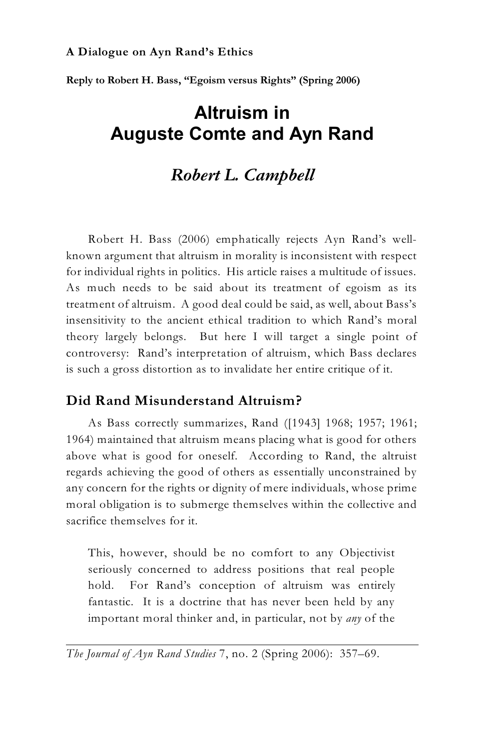#### **A Dialogue on Ayn Rand's Ethics**

**Reply to Robert H. Bass, "Egoism versus Rights" (Spring 2006)**

# **Altruism in Auguste Comte and Ayn Rand**

## *Robert L. Campbell*

Robert H. Bass (2006) emphatically rejects Ayn Rand's wellknown argument that altruism in morality is inconsistent with respect for individual rights in politics. His article raises a multitude of issues. As much needs to be said about its treatment of egoism as its treatment of altruism. A good deal could be said, as well, about Bass's insensitivity to the ancient ethical tradition to which Rand's moral theory largely belongs. But here I will target a single point of controversy: Rand's interpretation of altruism, which Bass declares is such a gross distortion as to invalidate her entire critique of it.

#### **Did Rand Misunderstand Altruism?**

As Bass correctly summarizes, Rand ([1943] 1968; 1957; 1961; 1964) maintained that altruism means placing what is good for others above what is good for oneself. According to Rand, the altruist regards achieving the good of others as essentially unconstrained by any concern for the rights or dignity of mere individuals, whose prime moral obligation is to submerge themselves within the collective and sacrifice themselves for it.

This, however, should be no comfort to any Objectivist seriously concerned to address positions that real people hold. For Rand's conception of altruism was entirely fantastic. It is a doctrine that has never been held by any important moral thinker and, in particular, not by *any* of the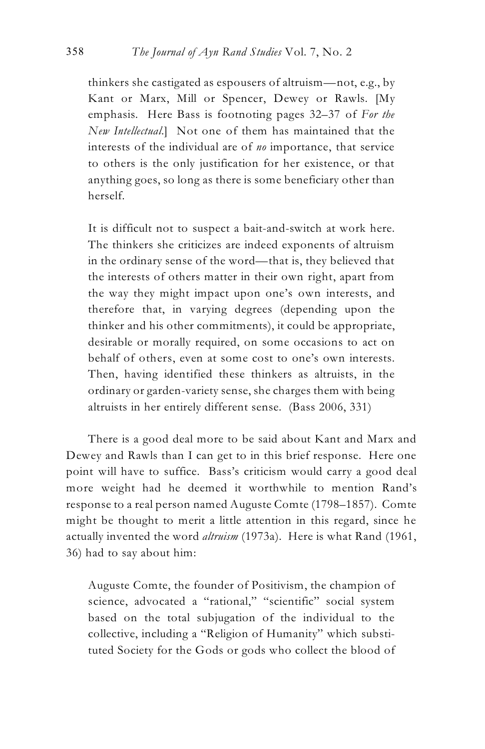thinkers she castigated as espousers of altruism—not, e.g., by Kant or Marx, Mill or Spencer, Dewey or Rawls. [My emphasis. Here Bass is footnoting pages 32–37 of *For the New Intellectual*.] Not one of them has maintained that the interests of the individual are of *no* importance, that service to others is the only justification for her existence, or that anything goes, so long as there is some beneficiary other than herself.

It is difficult not to suspect a bait-and-switch at work here. The thinkers she criticizes are indeed exponents of altruism in the ordinary sense of the word—that is, they believed that the interests of others matter in their own right, apart from the way they might impact upon one's own interests, and therefore that, in varying degrees (depending upon the thinker and his other commitments), it could be appropriate, desirable or morally required, on some occasions to act on behalf of others, even at some cost to one's own interests. Then, having identified these thinkers as altruists, in the ordinary or garden-variety sense, she charges them with being altruists in her entirely different sense. (Bass 2006, 331)

There is a good deal more to be said about Kant and Marx and Dewey and Rawls than I can get to in this brief response. Here one point will have to suffice. Bass's criticism would carry a good deal more weight had he deemed it worthwhile to mention Rand's response to a real person named Auguste Comte (1798–1857). Comte might be thought to merit a little attention in this regard, since he actually invented the word *altruism* (1973a). Here is what Rand (1961, 36) had to say about him:

Auguste Comte, the founder of Positivism, the champion of science, advocated a "rational," "scientific" social system based on the total subjugation of the individual to the collective, including a "Religion of Humanity" which substituted Society for the Gods or gods who collect the blood of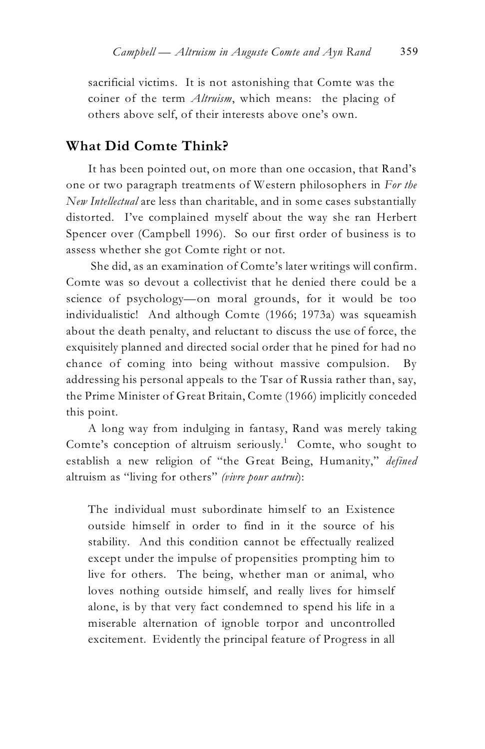sacrificial victims. It is not astonishing that Comte was the coiner of the term *Altruism*, which means: the placing of others above self, of their interests above one's own.

#### **What Did Comte Think?**

It has been pointed out, on more than one occasion, that Rand's one or two paragraph treatments of Western philosophers in *For the New Intellectual* are less than charitable, and in some cases substantially distorted. I've complained myself about the way she ran Herbert Spencer over (Campbell 1996). So our first order of business is to assess whether she got Comte right or not.

 She did, as an examination of Comte's later writings will confirm. Comte was so devout a collectivist that he denied there could be a science of psychology—on moral grounds, for it would be too individualistic! And although Comte (1966; 1973a) was squeamish about the death penalty, and reluctant to discuss the use of force, the exquisitely planned and directed social order that he pined for had no chance of coming into being without massive compulsion. By addressing his personal appeals to the Tsar of Russia rather than, say, the Prime Minister of Great Britain, Comte (1966) implicitly conceded this point.

A long way from indulging in fantasy, Rand was merely taking Comte's conception of altruism seriously.<sup>1</sup> Comte, who sought to establish a new religion of "the Great Being, Humanity," *defined* altruism as "living for others" *(vivre pour autrui*):

The individual must subordinate himself to an Existence outside himself in order to find in it the source of his stability. And this condition cannot be effectually realized except under the impulse of propensities prompting him to live for others. The being, whether man or animal, who loves nothing outside himself, and really lives for himself alone, is by that very fact condemned to spend his life in a miserable alternation of ignoble torpor and uncontrolled excitement. Evidently the principal feature of Progress in all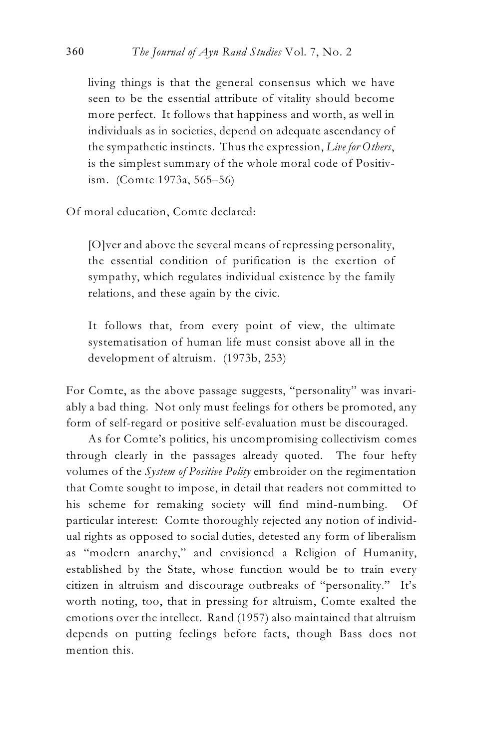living things is that the general consensus which we have seen to be the essential attribute of vitality should become more perfect. It follows that happiness and worth, as well in individuals as in societies, depend on adequate ascendancy of the sympathetic instincts. Thus the expression, *Live for Others*, is the simplest summary of the whole moral code of Positivism. (Comte 1973a, 565–56)

Of moral education, Comte declared:

[O]ver and above the several means of repressing personality, the essential condition of purification is the exertion of sympathy, which regulates individual existence by the family relations, and these again by the civic.

It follows that, from every point of view, the ultimate systematisation of human life must consist above all in the development of altruism. (1973b, 253)

For Comte, as the above passage suggests, "personality" was invariably a bad thing. Not only must feelings for others be promoted, any form of self-regard or positive self-evaluation must be discouraged.

As for Comte's politics, his uncompromising collectivism comes through clearly in the passages already quoted. The four hefty volumes of the *System of Positive Polity* embroider on the regimentation that Comte sought to impose, in detail that readers not committed to his scheme for remaking society will find mind-numbing. Of particular interest: Comte thoroughly rejected any notion of individual rights as opposed to social duties, detested any form of liberalism as "modern anarchy," and envisioned a Religion of Humanity, established by the State, whose function would be to train every citizen in altruism and discourage outbreaks of "personality." It's worth noting, too, that in pressing for altruism, Comte exalted the emotions over the intellect. Rand (1957) also maintained that altruism depends on putting feelings before facts, though Bass does not mention this.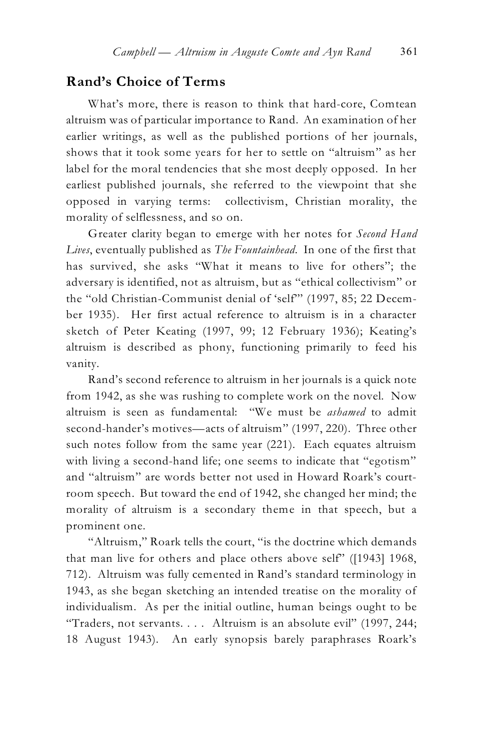#### **Rand's Choice of Terms**

What's more, there is reason to think that hard-core, Comtean altruism was of particular importance to Rand. An examination of her earlier writings, as well as the published portions of her journals, shows that it took some years for her to settle on "altruism" as her label for the moral tendencies that she most deeply opposed. In her earliest published journals, she referred to the viewpoint that she opposed in varying terms: collectivism, Christian morality, the morality of selflessness, and so on.

Greater clarity began to emerge with her notes for *Second Hand Lives*, eventually published as *The Fountainhead*. In one of the first that has survived, she asks "What it means to live for others"; the adversary is identified, not as altruism, but as "ethical collectivism" or the "old Christian-Communist denial of 'self'" (1997, 85; 22 December 1935). Her first actual reference to altruism is in a character sketch of Peter Keating (1997, 99; 12 February 1936); Keating's altruism is described as phony, functioning primarily to feed his vanity.

Rand's second reference to altruism in her journals is a quick note from 1942, as she was rushing to complete work on the novel. Now altruism is seen as fundamental: "We must be *ashamed* to admit second-hander's motives—acts of altruism" (1997, 220). Three other such notes follow from the same year (221). Each equates altruism with living a second-hand life; one seems to indicate that "egotism" and "altruism" are words better not used in Howard Roark's courtroom speech. But toward the end of 1942, she changed her mind; the morality of altruism is a secondary theme in that speech, but a prominent one.

"Altruism," Roark tells the court, "is the doctrine which demands that man live for others and place others above self" ([1943] 1968, 712). Altruism was fully cemented in Rand's standard terminology in 1943, as she began sketching an intended treatise on the morality of individualism. As per the initial outline, human beings ought to be "Traders, not servants. . . . Altruism is an absolute evil" (1997, 244; 18 August 1943). An early synopsis barely paraphrases Roark's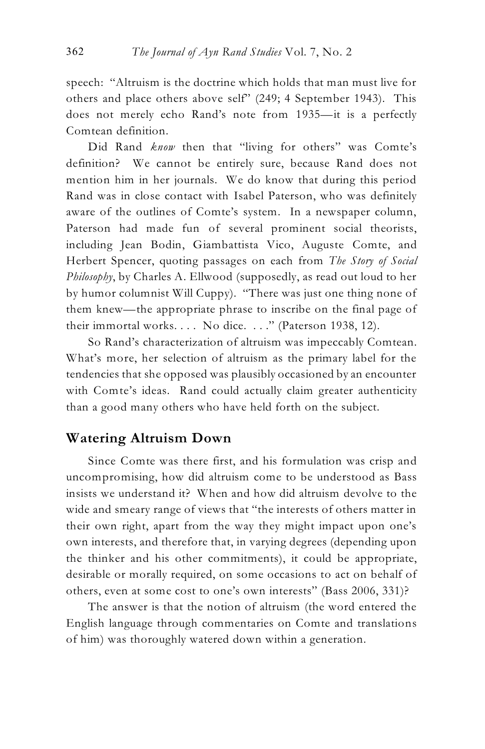speech: "Altruism is the doctrine which holds that man must live for others and place others above self" (249; 4 September 1943). This does not merely echo Rand's note from 1935—it is a perfectly Comtean definition.

Did Rand *know* then that "living for others" was Comte's definition? We cannot be entirely sure, because Rand does not mention him in her journals. We do know that during this period Rand was in close contact with Isabel Paterson, who was definitely aware of the outlines of Comte's system. In a newspaper column, Paterson had made fun of several prominent social theorists, including Jean Bodin, Giambattista Vico, Auguste Comte, and Herbert Spencer, quoting passages on each from *The Story of Social Philosophy*, by Charles A. Ellwood (supposedly, as read out loud to her by humor columnist Will Cuppy). "There was just one thing none of them knew—the appropriate phrase to inscribe on the final page of their immortal works. . . . No dice. . . ." (Paterson 1938, 12).

So Rand's characterization of altruism was impeccably Comtean. What's more, her selection of altruism as the primary label for the tendencies that she opposed was plausibly occasioned by an encounter with Comte's ideas. Rand could actually claim greater authenticity than a good many others who have held forth on the subject.

#### **Watering Altruism Down**

Since Comte was there first, and his formulation was crisp and uncompromising, how did altruism come to be understood as Bass insists we understand it? When and how did altruism devolve to the wide and smeary range of views that "the interests of others matter in their own right, apart from the way they might impact upon one's own interests, and therefore that, in varying degrees (depending upon the thinker and his other commitments), it could be appropriate, desirable or morally required, on some occasions to act on behalf of others, even at some cost to one's own interests" (Bass 2006, 331)?

The answer is that the notion of altruism (the word entered the English language through commentaries on Comte and translations of him) was thoroughly watered down within a generation.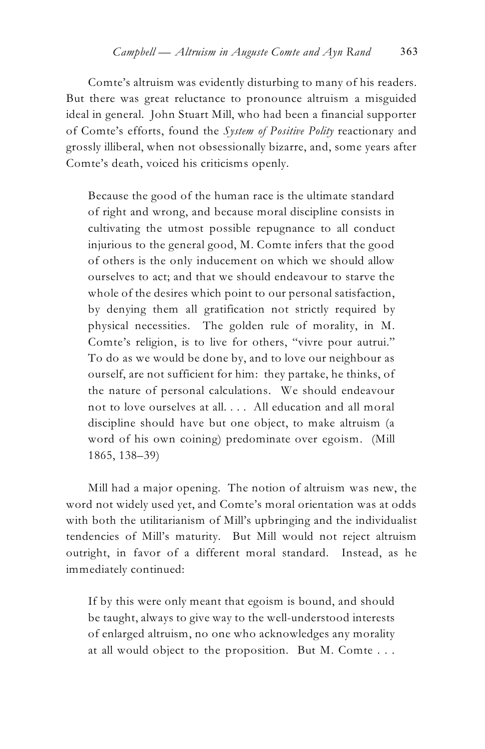Comte's altruism was evidently disturbing to many of his readers. But there was great reluctance to pronounce altruism a misguided ideal in general. John Stuart Mill, who had been a financial supporter of Comte's efforts, found the *System of Positive Polity* reactionary and grossly illiberal, when not obsessionally bizarre, and, some years after Comte's death, voiced his criticisms openly.

Because the good of the human race is the ultimate standard of right and wrong, and because moral discipline consists in cultivating the utmost possible repugnance to all conduct injurious to the general good, M. Comte infers that the good of others is the only inducement on which we should allow ourselves to act; and that we should endeavour to starve the whole of the desires which point to our personal satisfaction, by denying them all gratification not strictly required by physical necessities. The golden rule of morality, in M. Comte's religion, is to live for others, "vivre pour autrui." To do as we would be done by, and to love our neighbour as ourself, are not sufficient for him: they partake, he thinks, of the nature of personal calculations. We should endeavour not to love ourselves at all. . . . All education and all moral discipline should have but one object, to make altruism (a word of his own coining) predominate over egoism. (Mill 1865, 138–39)

Mill had a major opening. The notion of altruism was new, the word not widely used yet, and Comte's moral orientation was at odds with both the utilitarianism of Mill's upbringing and the individualist tendencies of Mill's maturity. But Mill would not reject altruism outright, in favor of a different moral standard. Instead, as he immediately continued:

If by this were only meant that egoism is bound, and should be taught, always to give way to the well-understood interests of enlarged altruism, no one who acknowledges any morality at all would object to the proposition. But M. Comte . . .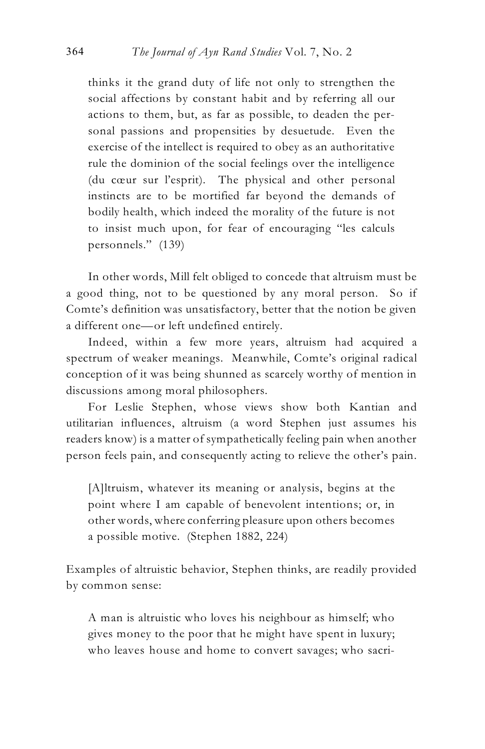thinks it the grand duty of life not only to strengthen the social affections by constant habit and by referring all our actions to them, but, as far as possible, to deaden the personal passions and propensities by desuetude. Even the exercise of the intellect is required to obey as an authoritative rule the dominion of the social feelings over the intelligence (du cœur sur l'esprit). The physical and other personal instincts are to be mortified far beyond the demands of bodily health, which indeed the morality of the future is not to insist much upon, for fear of encouraging "les calculs personnels." (139)

In other words, Mill felt obliged to concede that altruism must be a good thing, not to be questioned by any moral person. So if Comte's definition was unsatisfactory, better that the notion be given a different one—or left undefined entirely.

Indeed, within a few more years, altruism had acquired a spectrum of weaker meanings. Meanwhile, Comte's original radical conception of it was being shunned as scarcely worthy of mention in discussions among moral philosophers.

For Leslie Stephen, whose views show both Kantian and utilitarian influences, altruism (a word Stephen just assumes his readers know) is a matter of sympathetically feeling pain when another person feels pain, and consequently acting to relieve the other's pain.

[A]ltruism, whatever its meaning or analysis, begins at the point where I am capable of benevolent intentions; or, in other words, where conferring pleasure upon others becomes a possible motive. (Stephen 1882, 224)

Examples of altruistic behavior, Stephen thinks, are readily provided by common sense:

A man is altruistic who loves his neighbour as himself; who gives money to the poor that he might have spent in luxury; who leaves house and home to convert savages; who sacri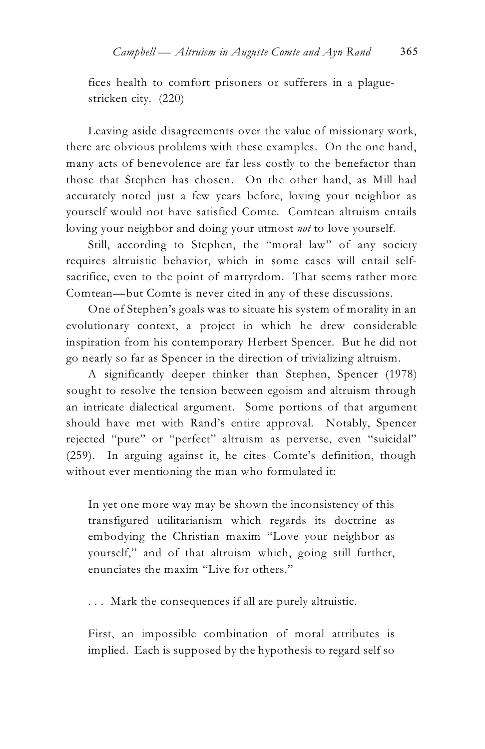fices health to comfort prisoners or sufferers in a plaguestricken city. (220)

Leaving aside disagreements over the value of missionary work, there are obvious problems with these examples. On the one hand, many acts of benevolence are far less costly to the benefactor than those that Stephen has chosen. On the other hand, as Mill had accurately noted just a few years before, loving your neighbor as yourself would not have satisfied Comte. Comtean altruism entails loving your neighbor and doing your utmost *not* to love yourself.

Still, according to Stephen, the "moral law" of any society requires altruistic behavior, which in some cases will entail selfsacrifice, even to the point of martyrdom. That seems rather more Comtean—but Comte is never cited in any of these discussions.

One of Stephen's goals was to situate his system of morality in an evolutionary context, a project in which he drew considerable inspiration from his contemporary Herbert Spencer. But he did not go nearly so far as Spencer in the direction of trivializing altruism.

A significantly deeper thinker than Stephen, Spencer (1978) sought to resolve the tension between egoism and altruism through an intricate dialectical argument. Some portions of that argument should have met with Rand's entire approval. Notably, Spencer rejected "pure" or "perfect" altruism as perverse, even "suicidal" (259). In arguing against it, he cites Comte's definition, though without ever mentioning the man who formulated it:

In yet one more way may be shown the inconsistency of this transfigured utilitarianism which regards its doctrine as embodying the Christian maxim "Love your neighbor as yourself," and of that altruism which, going still further, enunciates the maxim "Live for others."

. . . Mark the consequences if all are purely altruistic.

First, an impossible combination of moral attributes is implied. Each is supposed by the hypothesis to regard self so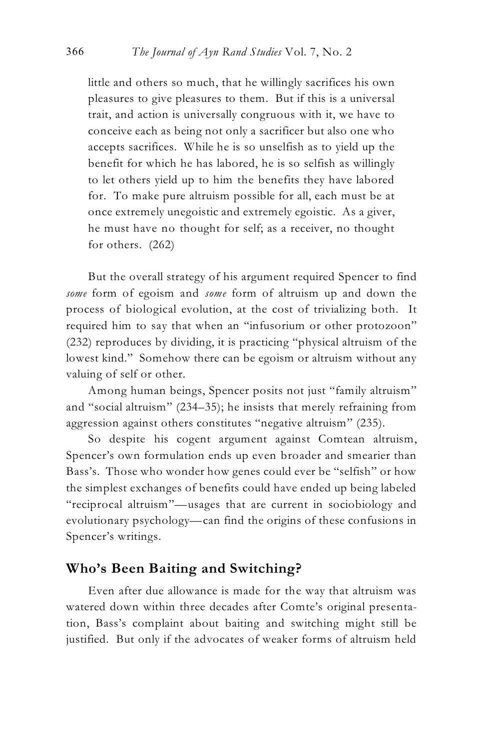little and others so much, that he willingly sacrifices his own pleasures to give pleasures to them. But if this is a universal trait, and action is universally congruous with it, we have to conceive each as being not only a sacrificer but also one who accepts sacrifices. While he is so unselfish as to yield up the benefit for which he has labored, he is so selfish as willingly to let others yield up to him the benefits they have labored for. To make pure altruism possible for all, each must be at once extremely unegoistic and extremely egoistic. As a giver, he must have no thought for self; as a receiver, no thought for others. (262)

But the overall strategy of his argument required Spencer to find *some* form of egoism and *some* form of altruism up and down the process of biological evolution, at the cost of trivializing both. It required him to say that when an "infusorium or other protozoon" (232) reproduces by dividing, it is practicing "physical altruism of the lowest kind." Somehow there can be egoism or altruism without any valuing of self or other.

Among human beings, Spencer posits not just "family altruism" and "social altruism" (234–35); he insists that merely refraining from aggression against others constitutes "negative altruism" (235).

So despite his cogent argument against Comtean altruism, Spencer's own formulation ends up even broader and smearier than Bass's. Those who wonder how genes could ever be "selfish" or how the simplest exchanges of benefits could have ended up being labeled "reciprocal altruism"—usages that are current in sociobiology and evolutionary psychology—can find the origins of these confusions in Spencer's writings.

#### **Who's Been Baiting and Switching?**

Even after due allowance is made for the way that altruism was watered down within three decades after Comte's original presentation, Bass's complaint about baiting and switching might still be justified. But only if the advocates of weaker forms of altruism held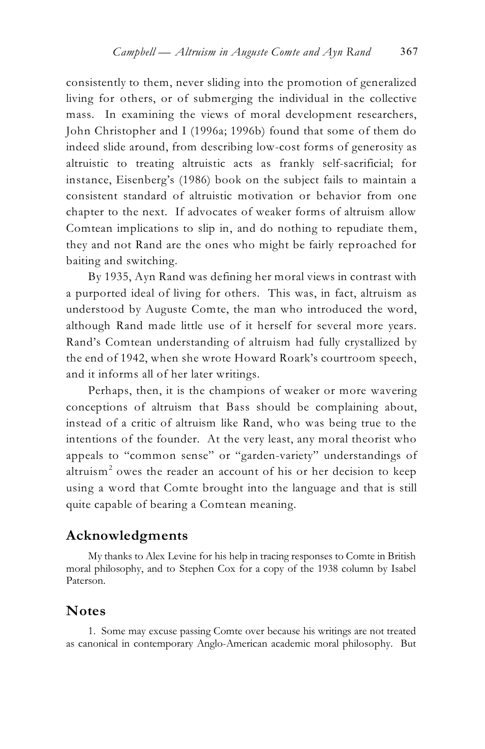consistently to them, never sliding into the promotion of generalized living for others, or of submerging the individual in the collective mass. In examining the views of moral development researchers, John Christopher and I (1996a; 1996b) found that some of them do indeed slide around, from describing low-cost forms of generosity as altruistic to treating altruistic acts as frankly self-sacrificial; for instance, Eisenberg's (1986) book on the subject fails to maintain a consistent standard of altruistic motivation or behavior from one chapter to the next. If advocates of weaker forms of altruism allow Comtean implications to slip in, and do nothing to repudiate them, they and not Rand are the ones who might be fairly reproached for baiting and switching.

By 1935, Ayn Rand was defining her moral views in contrast with a purported ideal of living for others. This was, in fact, altruism as understood by Auguste Comte, the man who introduced the word, although Rand made little use of it herself for several more years. Rand's Comtean understanding of altruism had fully crystallized by the end of 1942, when she wrote Howard Roark's courtroom speech, and it informs all of her later writings.

Perhaps, then, it is the champions of weaker or more wavering conceptions of altruism that Bass should be complaining about, instead of a critic of altruism like Rand, who was being true to the intentions of the founder. At the very least, any moral theorist who appeals to "common sense" or "garden-variety" understandings of altruism<sup>2</sup> owes the reader an account of his or her decision to keep using a word that Comte brought into the language and that is still quite capable of bearing a Comtean meaning.

### **Acknowledgments**

My thanks to Alex Levine for his help in tracing responses to Comte in British moral philosophy, and to Stephen Cox for a copy of the 1938 column by Isabel Paterson.

#### **Notes**

1. Some may excuse passing Comte over because his writings are not treated as canonical in contemporary Anglo-American academic moral philosophy. But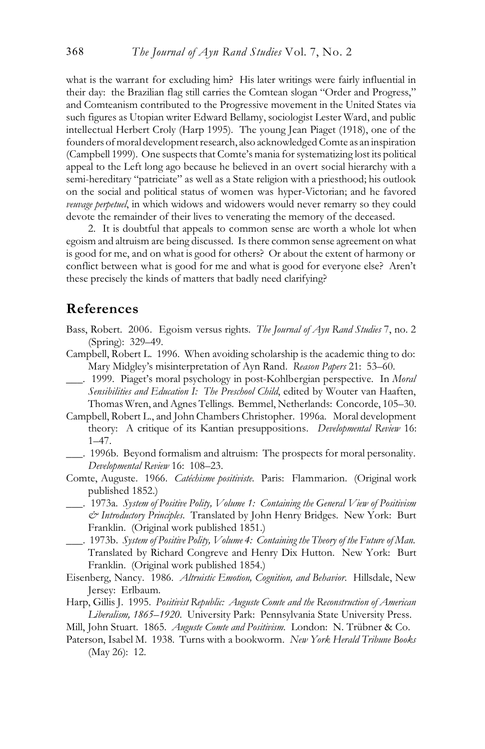what is the warrant for excluding him? His later writings were fairly influential in their day: the Brazilian flag still carries the Comtean slogan "Order and Progress," and Comteanism contributed to the Progressive movement in the United States via such figures as Utopian writer Edward Bellamy, sociologist Lester Ward, and public intellectual Herbert Croly (Harp 1995). The young Jean Piaget (1918), one of the founders of moral development research, also acknowledged Comte as an inspiration (Campbell 1999). One suspects that Comte's mania for systematizing lost its political appeal to the Left long ago because he believed in an overt social hierarchy with a semi-hereditary "patriciate" as well as a State religion with a priesthood; his outlook on the social and political status of women was hyper-Victorian; and he favored *veuvage perpetuel*, in which widows and widowers would never remarry so they could devote the remainder of their lives to venerating the memory of the deceased.

2. It is doubtful that appeals to common sense are worth a whole lot when egoism and altruism are being discussed. Isthere common sense agreement on what is good for me, and on what is good for others? Or about the extent of harmony or conflict between what is good for me and what is good for everyone else? Aren't these precisely the kinds of matters that badly need clarifying?

#### **References**

- Bass, Robert. 2006. Egoism versus rights. *The Journal of Ayn Rand Studies* 7, no. 2 (Spring): 329–49.
- Campbell, Robert L. 1996. When avoiding scholarship is the academic thing to do: Mary Midgley's misinterpretation of Ayn Rand. *Reason Papers* 21: 53–60.
- \_\_\_. 1999. Piaget's moral psychology in post-Kohlbergian perspective. In *Moral Sensibilities and Education I: The Preschool Child*, edited by Wouter van Haaften, Thomas Wren, and Agnes Tellings. Bemmel, Netherlands: Concorde, 105–30.
- Campbell, Robert L., and John Chambers Christopher. 1996a. Moral development theory: A critique of its Kantian presuppositions. *Developmental Review* 16: 1–47.
- \_\_\_. 1996b. Beyond formalism and altruism: The prospects for moral personality. *Developmental Review* 16: 108–23.
- Comte, Auguste. 1966. *Catéchisme positiviste*. Paris: Flammarion. (Original work published 1852.)
- \_\_\_. 1973a. *System of Positive Polity, Volume 1: Containing the General View of Positivism & Introductory Principles*. Translated by John Henry Bridges. New York: Burt Franklin. (Original work published 1851.)
- \_\_\_. 1973b. *System of Positive Polity, Volume 4: Containing the Theory of the Future of Man*. Translated by Richard Congreve and Henry Dix Hutton. New York: Burt Franklin. (Original work published 1854.)
- Eisenberg, Nancy. 1986. *Altruistic Emotion, Cognition, and Behavior*. Hillsdale, New Jersey: Erlbaum.
- Harp, Gillis J. 1995. *Positivist Republic: Auguste Comte and the Reconstruction of American Liberalism, 1865–1920*. University Park: Pennsylvania State University Press.
- Mill, John Stuart. 1865. *Auguste Comte and Positivism*. London: N. Trübner & Co.
- Paterson, Isabel M. 1938. Turns with a bookworm. *New York Herald Tribune Books* (May 26): 12.